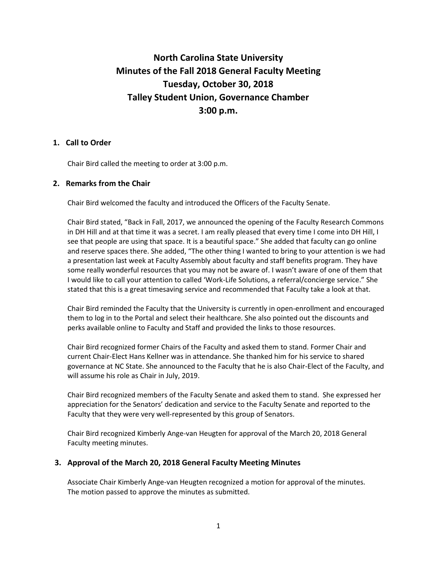# **North Carolina State University Minutes of the Fall 2018 General Faculty Meeting Tuesday, October 30, 2018 Talley Student Union, Governance Chamber 3:00 p.m.**

# **1. Call to Order**

Chair Bird called the meeting to order at 3:00 p.m.

# **2. Remarks from the Chair**

Chair Bird welcomed the faculty and introduced the Officers of the Faculty Senate.

Chair Bird stated, "Back in Fall, 2017, we announced the opening of the Faculty Research Commons in DH Hill and at that time it was a secret. I am really pleased that every time I come into DH Hill, I see that people are using that space. It is a beautiful space." She added that faculty can go online and reserve spaces there. She added, "The other thing I wanted to bring to your attention is we had a presentation last week at Faculty Assembly about faculty and staff benefits program. They have some really wonderful resources that you may not be aware of. I wasn't aware of one of them that I would like to call your attention to called 'Work-Life Solutions, a referral/concierge service." She stated that this is a great timesaving service and recommended that Faculty take a look at that.

Chair Bird reminded the Faculty that the University is currently in open-enrollment and encouraged them to log in to the Portal and select their healthcare. She also pointed out the discounts and perks available online to Faculty and Staff and provided the links to those resources.

Chair Bird recognized former Chairs of the Faculty and asked them to stand. Former Chair and current Chair-Elect Hans Kellner was in attendance. She thanked him for his service to shared governance at NC State. She announced to the Faculty that he is also Chair-Elect of the Faculty, and will assume his role as Chair in July, 2019.

Chair Bird recognized members of the Faculty Senate and asked them to stand. She expressed her appreciation for the Senators' dedication and service to the Faculty Senate and reported to the Faculty that they were very well-represented by this group of Senators.

Chair Bird recognized Kimberly Ange-van Heugten for approval of the March 20, 2018 General Faculty meeting minutes.

# **3. Approval of the March 20, 2018 General Faculty Meeting Minutes**

Associate Chair Kimberly Ange-van Heugten recognized a motion for approval of the minutes. The motion passed to approve the minutes as submitted.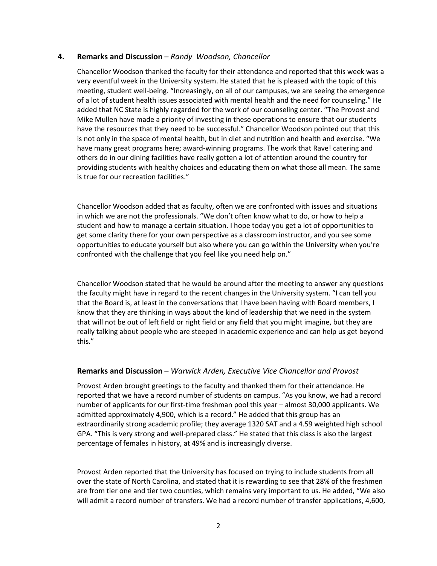# **4. Remarks and Discussion** – *Randy Woodson, Chancellor*

Chancellor Woodson thanked the faculty for their attendance and reported that this week was a very eventful week in the University system. He stated that he is pleased with the topic of this meeting, student well-being. "Increasingly, on all of our campuses, we are seeing the emergence of a lot of student health issues associated with mental health and the need for counseling." He added that NC State is highly regarded for the work of our counseling center. "The Provost and Mike Mullen have made a priority of investing in these operations to ensure that our students have the resources that they need to be successful." Chancellor Woodson pointed out that this is not only in the space of mental health, but in diet and nutrition and health and exercise. "We have many great programs here; award-winning programs. The work that Rave! catering and others do in our dining facilities have really gotten a lot of attention around the country for providing students with healthy choices and educating them on what those all mean. The same is true for our recreation facilities."

Chancellor Woodson added that as faculty, often we are confronted with issues and situations in which we are not the professionals. "We don't often know what to do, or how to help a student and how to manage a certain situation. I hope today you get a lot of opportunities to get some clarity there for your own perspective as a classroom instructor, and you see some opportunities to educate yourself but also where you can go within the University when you're confronted with the challenge that you feel like you need help on."

Chancellor Woodson stated that he would be around after the meeting to answer any questions the faculty might have in regard to the recent changes in the University system. "I can tell you that the Board is, at least in the conversations that I have been having with Board members, I know that they are thinking in ways about the kind of leadership that we need in the system that will not be out of left field or right field or any field that you might imagine, but they are really talking about people who are steeped in academic experience and can help us get beyond this."

### **Remarks and Discussion** – *Warwick Arden, Executive Vice Chancellor and Provost*

Provost Arden brought greetings to the faculty and thanked them for their attendance. He reported that we have a record number of students on campus. "As you know, we had a record number of applicants for our first-time freshman pool this year – almost 30,000 applicants. We admitted approximately 4,900, which is a record." He added that this group has an extraordinarily strong academic profile; they average 1320 SAT and a 4.59 weighted high school GPA. "This is very strong and well-prepared class." He stated that this class is also the largest percentage of females in history, at 49% and is increasingly diverse.

Provost Arden reported that the University has focused on trying to include students from all over the state of North Carolina, and stated that it is rewarding to see that 28% of the freshmen are from tier one and tier two counties, which remains very important to us. He added, "We also will admit a record number of transfers. We had a record number of transfer applications, 4,600,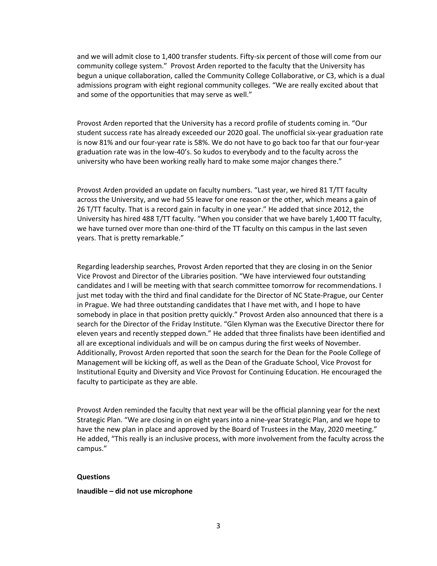and we will admit close to 1,400 transfer students. Fifty-six percent of those will come from our community college system." Provost Arden reported to the faculty that the University has begun a unique collaboration, called the Community College Collaborative, or C3, which is a dual admissions program with eight regional community colleges. "We are really excited about that and some of the opportunities that may serve as well."

Provost Arden reported that the University has a record profile of students coming in. "Our student success rate has already exceeded our 2020 goal. The unofficial six-year graduation rate is now 81% and our four-year rate is 58%. We do not have to go back too far that our four-year graduation rate was in the low-40's. So kudos to everybody and to the faculty across the university who have been working really hard to make some major changes there."

Provost Arden provided an update on faculty numbers. "Last year, we hired 81 T/TT faculty across the University, and we had 55 leave for one reason or the other, which means a gain of 26 T/TT faculty. That is a record gain in faculty in one year." He added that since 2012, the University has hired 488 T/TT faculty. "When you consider that we have barely 1,400 TT faculty, we have turned over more than one-third of the TT faculty on this campus in the last seven years. That is pretty remarkable."

Regarding leadership searches, Provost Arden reported that they are closing in on the Senior Vice Provost and Director of the Libraries position. "We have interviewed four outstanding candidates and I will be meeting with that search committee tomorrow for recommendations. I just met today with the third and final candidate for the Director of NC State-Prague, our Center in Prague. We had three outstanding candidates that I have met with, and I hope to have somebody in place in that position pretty quickly." Provost Arden also announced that there is a search for the Director of the Friday Institute. "Glen Klyman was the Executive Director there for eleven years and recently stepped down." He added that three finalists have been identified and all are exceptional individuals and will be on campus during the first weeks of November. Additionally, Provost Arden reported that soon the search for the Dean for the Poole College of Management will be kicking off, as well as the Dean of the Graduate School, Vice Provost for Institutional Equity and Diversity and Vice Provost for Continuing Education. He encouraged the faculty to participate as they are able.

Provost Arden reminded the faculty that next year will be the official planning year for the next Strategic Plan. "We are closing in on eight years into a nine-year Strategic Plan, and we hope to have the new plan in place and approved by the Board of Trustees in the May, 2020 meeting." He added, "This really is an inclusive process, with more involvement from the faculty across the campus."

#### **Questions**

### **Inaudible – did not use microphone**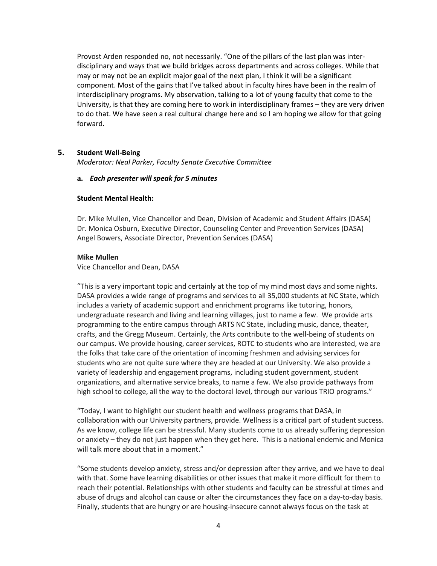Provost Arden responded no, not necessarily. "One of the pillars of the last plan was interdisciplinary and ways that we build bridges across departments and across colleges. While that may or may not be an explicit major goal of the next plan, I think it will be a significant component. Most of the gains that I've talked about in faculty hires have been in the realm of interdisciplinary programs. My observation, talking to a lot of young faculty that come to the University, is that they are coming here to work in interdisciplinary frames – they are very driven to do that. We have seen a real cultural change here and so I am hoping we allow for that going forward.

### **5. Student Well-Being**

*Moderator: Neal Parker, Faculty Senate Executive Committee*

### **a.** *Each presenter will speak for 5 minutes*

### **Student Mental Health:**

Dr. Mike Mullen, Vice Chancellor and Dean, Division of Academic and Student Affairs (DASA) Dr. Monica Osburn, Executive Director, Counseling Center and Prevention Services (DASA) Angel Bowers, Associate Director, Prevention Services (DASA)

### **Mike Mullen**

Vice Chancellor and Dean, DASA

"This is a very important topic and certainly at the top of my mind most days and some nights. DASA provides a wide range of programs and services to all 35,000 students at NC State, which includes a variety of academic support and enrichment programs like tutoring, honors, undergraduate research and living and learning villages, just to name a few. We provide arts programming to the entire campus through ARTS NC State, including music, dance, theater, crafts, and the Gregg Museum. Certainly, the Arts contribute to the well-being of students on our campus. We provide housing, career services, ROTC to students who are interested, we are the folks that take care of the orientation of incoming freshmen and advising services for students who are not quite sure where they are headed at our University. We also provide a variety of leadership and engagement programs, including student government, student organizations, and alternative service breaks, to name a few. We also provide pathways from high school to college, all the way to the doctoral level, through our various TRIO programs."

"Today, I want to highlight our student health and wellness programs that DASA, in collaboration with our University partners, provide. Wellness is a critical part of student success. As we know, college life can be stressful. Many students come to us already suffering depression or anxiety – they do not just happen when they get here. This is a national endemic and Monica will talk more about that in a moment."

"Some students develop anxiety, stress and/or depression after they arrive, and we have to deal with that. Some have learning disabilities or other issues that make it more difficult for them to reach their potential. Relationships with other students and faculty can be stressful at times and abuse of drugs and alcohol can cause or alter the circumstances they face on a day-to-day basis. Finally, students that are hungry or are housing-insecure cannot always focus on the task at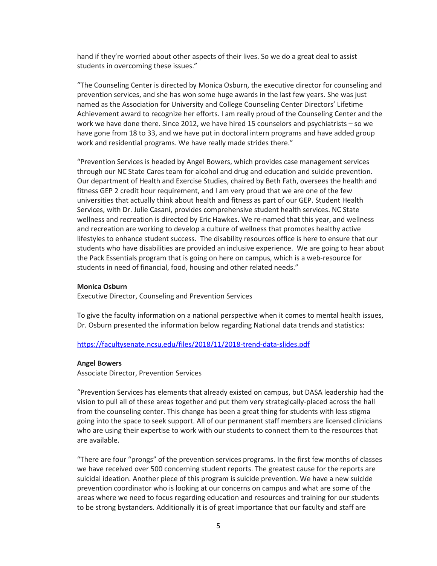hand if they're worried about other aspects of their lives. So we do a great deal to assist students in overcoming these issues."

"The Counseling Center is directed by Monica Osburn, the executive director for counseling and prevention services, and she has won some huge awards in the last few years. She was just named as the Association for University and College Counseling Center Directors' Lifetime Achievement award to recognize her efforts. I am really proud of the Counseling Center and the work we have done there. Since 2012, we have hired 15 counselors and psychiatrists – so we have gone from 18 to 33, and we have put in doctoral intern programs and have added group work and residential programs. We have really made strides there."

"Prevention Services is headed by Angel Bowers, which provides case management services through our NC State Cares team for alcohol and drug and education and suicide prevention. Our department of Health and Exercise Studies, chaired by Beth Fath, oversees the health and fitness GEP 2 credit hour requirement, and I am very proud that we are one of the few universities that actually think about health and fitness as part of our GEP. Student Health Services, with Dr. Julie Casani, provides comprehensive student health services. NC State wellness and recreation is directed by Eric Hawkes. We re-named that this year, and wellness and recreation are working to develop a culture of wellness that promotes healthy active lifestyles to enhance student success. The disability resources office is here to ensure that our students who have disabilities are provided an inclusive experience. We are going to hear about the Pack Essentials program that is going on here on campus, which is a web-resource for students in need of financial, food, housing and other related needs."

### **Monica Osburn**

Executive Director, Counseling and Prevention Services

To give the faculty information on a national perspective when it comes to mental health issues, Dr. Osburn presented the information below regarding National data trends and statistics:

### <https://facultysenate.ncsu.edu/files/2018/11/2018-trend-data-slides.pdf>

#### **Angel Bowers**

Associate Director, Prevention Services

"Prevention Services has elements that already existed on campus, but DASA leadership had the vision to pull all of these areas together and put them very strategically-placed across the hall from the counseling center. This change has been a great thing for students with less stigma going into the space to seek support. All of our permanent staff members are licensed clinicians who are using their expertise to work with our students to connect them to the resources that are available.

"There are four "prongs" of the prevention services programs. In the first few months of classes we have received over 500 concerning student reports. The greatest cause for the reports are suicidal ideation. Another piece of this program is suicide prevention. We have a new suicide prevention coordinator who is looking at our concerns on campus and what are some of the areas where we need to focus regarding education and resources and training for our students to be strong bystanders. Additionally it is of great importance that our faculty and staff are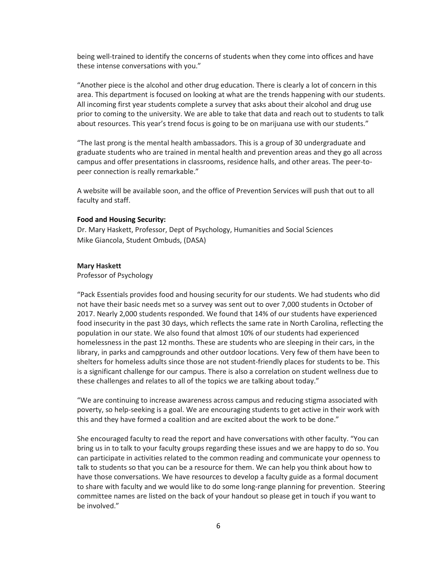being well-trained to identify the concerns of students when they come into offices and have these intense conversations with you."

"Another piece is the alcohol and other drug education. There is clearly a lot of concern in this area. This department is focused on looking at what are the trends happening with our students. All incoming first year students complete a survey that asks about their alcohol and drug use prior to coming to the university. We are able to take that data and reach out to students to talk about resources. This year's trend focus is going to be on marijuana use with our students."

"The last prong is the mental health ambassadors. This is a group of 30 undergraduate and graduate students who are trained in mental health and prevention areas and they go all across campus and offer presentations in classrooms, residence halls, and other areas. The peer-topeer connection is really remarkable."

A website will be available soon, and the office of Prevention Services will push that out to all faculty and staff.

### **Food and Housing Security:**

Dr. Mary Haskett, Professor, Dept of Psychology, Humanities and Social Sciences Mike Giancola, Student Ombuds, (DASA)

#### **Mary Haskett**

Professor of Psychology

"Pack Essentials provides food and housing security for our students. We had students who did not have their basic needs met so a survey was sent out to over 7,000 students in October of 2017. Nearly 2,000 students responded. We found that 14% of our students have experienced food insecurity in the past 30 days, which reflects the same rate in North Carolina, reflecting the population in our state. We also found that almost 10% of our students had experienced homelessness in the past 12 months. These are students who are sleeping in their cars, in the library, in parks and campgrounds and other outdoor locations. Very few of them have been to shelters for homeless adults since those are not student-friendly places for students to be. This is a significant challenge for our campus. There is also a correlation on student wellness due to these challenges and relates to all of the topics we are talking about today."

"We are continuing to increase awareness across campus and reducing stigma associated with poverty, so help-seeking is a goal. We are encouraging students to get active in their work with this and they have formed a coalition and are excited about the work to be done."

She encouraged faculty to read the report and have conversations with other faculty. "You can bring us in to talk to your faculty groups regarding these issues and we are happy to do so. You can participate in activities related to the common reading and communicate your openness to talk to students so that you can be a resource for them. We can help you think about how to have those conversations. We have resources to develop a faculty guide as a formal document to share with faculty and we would like to do some long-range planning for prevention. Steering committee names are listed on the back of your handout so please get in touch if you want to be involved."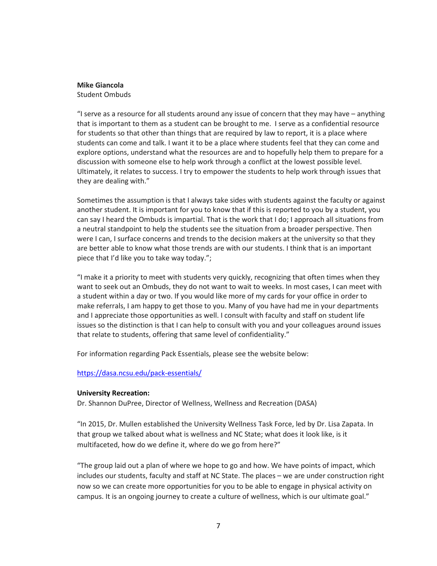# **Mike Giancola**

Student Ombuds

"I serve as a resource for all students around any issue of concern that they may have – anything that is important to them as a student can be brought to me. I serve as a confidential resource for students so that other than things that are required by law to report, it is a place where students can come and talk. I want it to be a place where students feel that they can come and explore options, understand what the resources are and to hopefully help them to prepare for a discussion with someone else to help work through a conflict at the lowest possible level. Ultimately, it relates to success. I try to empower the students to help work through issues that they are dealing with."

Sometimes the assumption is that I always take sides with students against the faculty or against another student. It is important for you to know that if this is reported to you by a student, you can say I heard the Ombuds is impartial. That is the work that I do; I approach all situations from a neutral standpoint to help the students see the situation from a broader perspective. Then were I can, I surface concerns and trends to the decision makers at the university so that they are better able to know what those trends are with our students. I think that is an important piece that I'd like you to take way today.";

"I make it a priority to meet with students very quickly, recognizing that often times when they want to seek out an Ombuds, they do not want to wait to weeks. In most cases, I can meet with a student within a day or two. If you would like more of my cards for your office in order to make referrals, I am happy to get those to you. Many of you have had me in your departments and I appreciate those opportunities as well. I consult with faculty and staff on student life issues so the distinction is that I can help to consult with you and your colleagues around issues that relate to students, offering that same level of confidentiality."

For information regarding Pack Essentials, please see the website below:

# <https://dasa.ncsu.edu/pack-essentials/>

### **University Recreation:**

Dr. Shannon DuPree, Director of Wellness, Wellness and Recreation (DASA)

"In 2015, Dr. Mullen established the University Wellness Task Force, led by Dr. Lisa Zapata. In that group we talked about what is wellness and NC State; what does it look like, is it multifaceted, how do we define it, where do we go from here?"

"The group laid out a plan of where we hope to go and how. We have points of impact, which includes our students, faculty and staff at NC State. The places – we are under construction right now so we can create more opportunities for you to be able to engage in physical activity on campus. It is an ongoing journey to create a culture of wellness, which is our ultimate goal."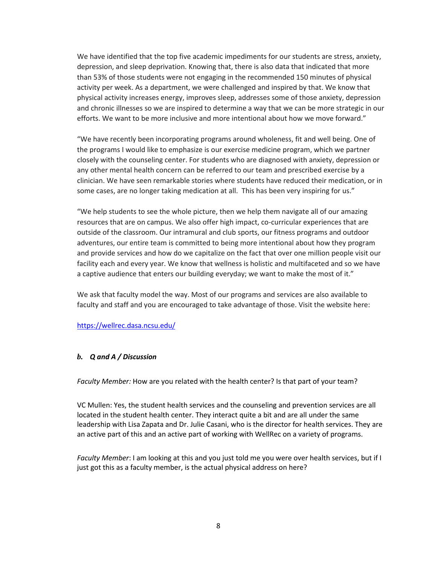We have identified that the top five academic impediments for our students are stress, anxiety, depression, and sleep deprivation. Knowing that, there is also data that indicated that more than 53% of those students were not engaging in the recommended 150 minutes of physical activity per week. As a department, we were challenged and inspired by that. We know that physical activity increases energy, improves sleep, addresses some of those anxiety, depression and chronic illnesses so we are inspired to determine a way that we can be more strategic in our efforts. We want to be more inclusive and more intentional about how we move forward."

"We have recently been incorporating programs around wholeness, fit and well being. One of the programs I would like to emphasize is our exercise medicine program, which we partner closely with the counseling center. For students who are diagnosed with anxiety, depression or any other mental health concern can be referred to our team and prescribed exercise by a clinician. We have seen remarkable stories where students have reduced their medication, or in some cases, are no longer taking medication at all. This has been very inspiring for us."

"We help students to see the whole picture, then we help them navigate all of our amazing resources that are on campus. We also offer high impact, co-curricular experiences that are outside of the classroom. Our intramural and club sports, our fitness programs and outdoor adventures, our entire team is committed to being more intentional about how they program and provide services and how do we capitalize on the fact that over one million people visit our facility each and every year. We know that wellness is holistic and multifaceted and so we have a captive audience that enters our building everyday; we want to make the most of it."

We ask that faculty model the way. Most of our programs and services are also available to faculty and staff and you are encouraged to take advantage of those. Visit the website here:

<https://wellrec.dasa.ncsu.edu/>

# *b. Q and A / Discussion*

*Faculty Member:* How are you related with the health center? Is that part of your team?

VC Mullen: Yes, the student health services and the counseling and prevention services are all located in the student health center. They interact quite a bit and are all under the same leadership with Lisa Zapata and Dr. Julie Casani, who is the director for health services. They are an active part of this and an active part of working with WellRec on a variety of programs.

*Faculty Member*: I am looking at this and you just told me you were over health services, but if I just got this as a faculty member, is the actual physical address on here?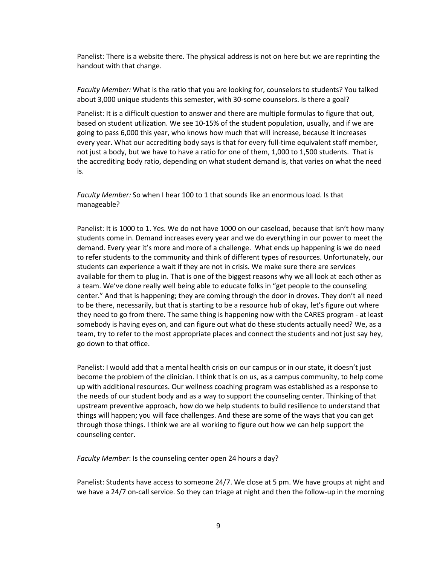Panelist: There is a website there. The physical address is not on here but we are reprinting the handout with that change.

*Faculty Member:* What is the ratio that you are looking for, counselors to students? You talked about 3,000 unique students this semester, with 30-some counselors. Is there a goal?

Panelist: It is a difficult question to answer and there are multiple formulas to figure that out, based on student utilization. We see 10-15% of the student population, usually, and if we are going to pass 6,000 this year, who knows how much that will increase, because it increases every year. What our accrediting body says is that for every full-time equivalent staff member, not just a body, but we have to have a ratio for one of them, 1,000 to 1,500 students. That is the accrediting body ratio, depending on what student demand is, that varies on what the need is.

*Faculty Member:* So when I hear 100 to 1 that sounds like an enormous load. Is that manageable?

Panelist: It is 1000 to 1. Yes. We do not have 1000 on our caseload, because that isn't how many students come in. Demand increases every year and we do everything in our power to meet the demand. Every year it's more and more of a challenge. What ends up happening is we do need to refer students to the community and think of different types of resources. Unfortunately, our students can experience a wait if they are not in crisis. We make sure there are services available for them to plug in. That is one of the biggest reasons why we all look at each other as a team. We've done really well being able to educate folks in "get people to the counseling center." And that is happening; they are coming through the door in droves. They don't all need to be there, necessarily, but that is starting to be a resource hub of okay, let's figure out where they need to go from there. The same thing is happening now with the CARES program - at least somebody is having eyes on, and can figure out what do these students actually need? We, as a team, try to refer to the most appropriate places and connect the students and not just say hey, go down to that office.

Panelist: I would add that a mental health crisis on our campus or in our state, it doesn't just become the problem of the clinician. I think that is on us, as a campus community, to help come up with additional resources. Our wellness coaching program was established as a response to the needs of our student body and as a way to support the counseling center. Thinking of that upstream preventive approach, how do we help students to build resilience to understand that things will happen; you will face challenges. And these are some of the ways that you can get through those things. I think we are all working to figure out how we can help support the counseling center.

*Faculty Member*: Is the counseling center open 24 hours a day?

Panelist: Students have access to someone 24/7. We close at 5 pm. We have groups at night and we have a 24/7 on-call service. So they can triage at night and then the follow-up in the morning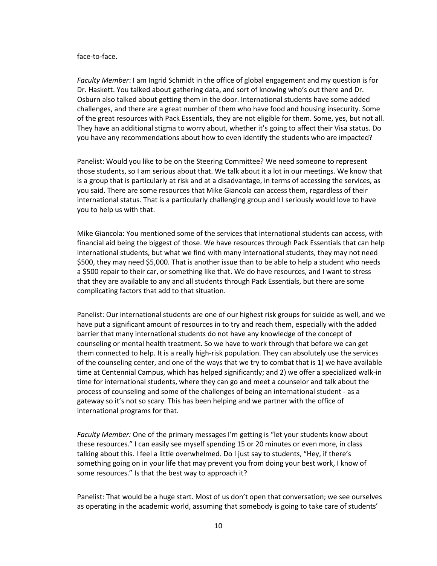### face-to-face.

*Faculty Member*: I am Ingrid Schmidt in the office of global engagement and my question is for Dr. Haskett. You talked about gathering data, and sort of knowing who's out there and Dr. Osburn also talked about getting them in the door. International students have some added challenges, and there are a great number of them who have food and housing insecurity. Some of the great resources with Pack Essentials, they are not eligible for them. Some, yes, but not all. They have an additional stigma to worry about, whether it's going to affect their Visa status. Do you have any recommendations about how to even identify the students who are impacted?

Panelist: Would you like to be on the Steering Committee? We need someone to represent those students, so I am serious about that. We talk about it a lot in our meetings. We know that is a group that is particularly at risk and at a disadvantage, in terms of accessing the services, as you said. There are some resources that Mike Giancola can access them, regardless of their international status. That is a particularly challenging group and I seriously would love to have you to help us with that.

Mike Giancola: You mentioned some of the services that international students can access, with financial aid being the biggest of those. We have resources through Pack Essentials that can help international students, but what we find with many international students, they may not need \$500, they may need \$5,000. That is another issue than to be able to help a student who needs a \$500 repair to their car, or something like that. We do have resources, and I want to stress that they are available to any and all students through Pack Essentials, but there are some complicating factors that add to that situation.

Panelist: Our international students are one of our highest risk groups for suicide as well, and we have put a significant amount of resources in to try and reach them, especially with the added barrier that many international students do not have any knowledge of the concept of counseling or mental health treatment. So we have to work through that before we can get them connected to help. It is a really high-risk population. They can absolutely use the services of the counseling center, and one of the ways that we try to combat that is 1) we have available time at Centennial Campus, which has helped significantly; and 2) we offer a specialized walk-in time for international students, where they can go and meet a counselor and talk about the process of counseling and some of the challenges of being an international student - as a gateway so it's not so scary. This has been helping and we partner with the office of international programs for that.

*Faculty Member:* One of the primary messages I'm getting is "let your students know about these resources." I can easily see myself spending 15 or 20 minutes or even more, in class talking about this. I feel a little overwhelmed. Do I just say to students, "Hey, if there's something going on in your life that may prevent you from doing your best work, I know of some resources." Is that the best way to approach it?

Panelist: That would be a huge start. Most of us don't open that conversation; we see ourselves as operating in the academic world, assuming that somebody is going to take care of students'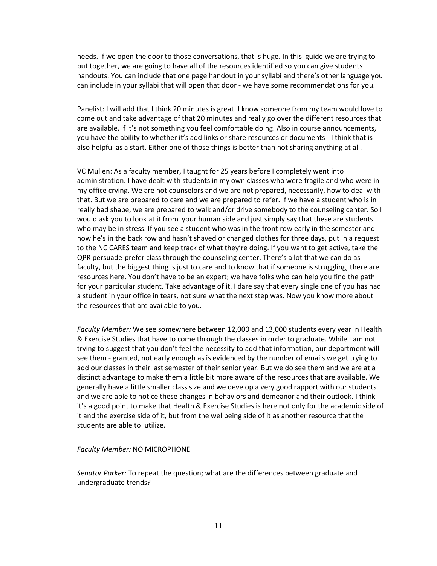needs. If we open the door to those conversations, that is huge. In this guide we are trying to put together, we are going to have all of the resources identified so you can give students handouts. You can include that one page handout in your syllabi and there's other language you can include in your syllabi that will open that door - we have some recommendations for you.

Panelist: I will add that I think 20 minutes is great. I know someone from my team would love to come out and take advantage of that 20 minutes and really go over the different resources that are available, if it's not something you feel comfortable doing. Also in course announcements, you have the ability to whether it's add links or share resources or documents - I think that is also helpful as a start. Either one of those things is better than not sharing anything at all.

VC Mullen: As a faculty member, I taught for 25 years before I completely went into administration. I have dealt with students in my own classes who were fragile and who were in my office crying. We are not counselors and we are not prepared, necessarily, how to deal with that. But we are prepared to care and we are prepared to refer. If we have a student who is in really bad shape, we are prepared to walk and/or drive somebody to the counseling center. So I would ask you to look at it from your human side and just simply say that these are students who may be in stress. If you see a student who was in the front row early in the semester and now he's in the back row and hasn't shaved or changed clothes for three days, put in a request to the NC CARES team and keep track of what they're doing. If you want to get active, take the QPR persuade-prefer class through the counseling center. There's a lot that we can do as faculty, but the biggest thing is just to care and to know that if someone is struggling, there are resources here. You don't have to be an expert; we have folks who can help you find the path for your particular student. Take advantage of it. I dare say that every single one of you has had a student in your office in tears, not sure what the next step was. Now you know more about the resources that are available to you.

*Faculty Member:* We see somewhere between 12,000 and 13,000 students every year in Health & Exercise Studies that have to come through the classes in order to graduate. While I am not trying to suggest that you don't feel the necessity to add that information, our department will see them - granted, not early enough as is evidenced by the number of emails we get trying to add our classes in their last semester of their senior year. But we do see them and we are at a distinct advantage to make them a little bit more aware of the resources that are available. We generally have a little smaller class size and we develop a very good rapport with our students and we are able to notice these changes in behaviors and demeanor and their outlook. I think it's a good point to make that Health & Exercise Studies is here not only for the academic side of it and the exercise side of it, but from the wellbeing side of it as another resource that the students are able to utilize.

#### *Faculty Member:* NO MICROPHONE

*Senator Parker:* To repeat the question; what are the differences between graduate and undergraduate trends?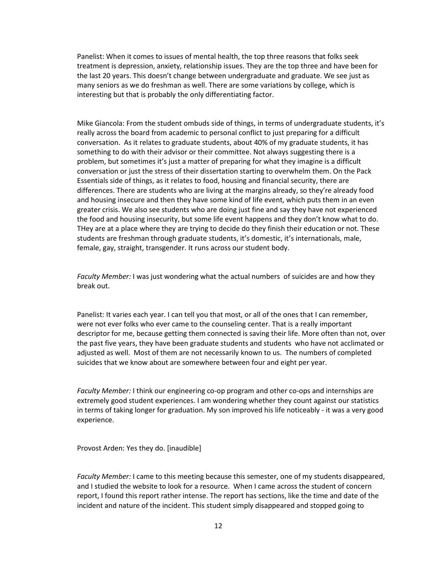Panelist: When it comes to issues of mental health, the top three reasons that folks seek treatment is depression, anxiety, relationship issues. They are the top three and have been for the last 20 years. This doesn't change between undergraduate and graduate. We see just as many seniors as we do freshman as well. There are some variations by college, which is interesting but that is probably the only differentiating factor.

Mike Giancola: From the student ombuds side of things, in terms of undergraduate students, it's really across the board from academic to personal conflict to just preparing for a difficult conversation. As it relates to graduate students, about 40% of my graduate students, it has something to do with their advisor or their committee. Not always suggesting there is a problem, but sometimes it's just a matter of preparing for what they imagine is a difficult conversation or just the stress of their dissertation starting to overwhelm them. On the Pack Essentials side of things, as it relates to food, housing and financial security, there are differences. There are students who are living at the margins already, so they're already food and housing insecure and then they have some kind of life event, which puts them in an even greater crisis. We also see students who are doing just fine and say they have not experienced the food and housing insecurity, but some life event happens and they don't know what to do. THey are at a place where they are trying to decide do they finish their education or not. These students are freshman through graduate students, it's domestic, it's internationals, male, female, gay, straight, transgender. It runs across our student body.

*Faculty Member:* I was just wondering what the actual numbers of suicides are and how they break out.

Panelist: It varies each year. I can tell you that most, or all of the ones that I can remember, were not ever folks who ever came to the counseling center. That is a really important descriptor for me, because getting them connected is saving their life. More often than not, over the past five years, they have been graduate students and students who have not acclimated or adjusted as well. Most of them are not necessarily known to us. The numbers of completed suicides that we know about are somewhere between four and eight per year.

*Faculty Member:* I think our engineering co-op program and other co-ops and internships are extremely good student experiences. I am wondering whether they count against our statistics in terms of taking longer for graduation. My son improved his life noticeably - it was a very good experience.

Provost Arden: Yes they do. [inaudible]

*Faculty Member:* I came to this meeting because this semester, one of my students disappeared, and I studied the website to look for a resource. When I came across the student of concern report, I found this report rather intense. The report has sections, like the time and date of the incident and nature of the incident. This student simply disappeared and stopped going to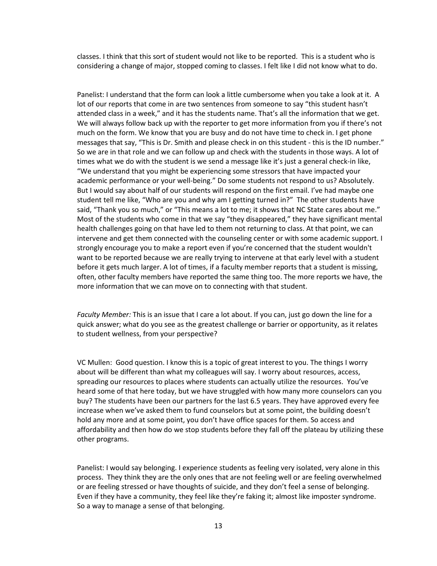classes. I think that this sort of student would not like to be reported. This is a student who is considering a change of major, stopped coming to classes. I felt like I did not know what to do.

Panelist: I understand that the form can look a little cumbersome when you take a look at it. A lot of our reports that come in are two sentences from someone to say "this student hasn't attended class in a week," and it has the students name. That's all the information that we get. We will always follow back up with the reporter to get more information from you if there's not much on the form. We know that you are busy and do not have time to check in. I get phone messages that say, "This is Dr. Smith and please check in on this student - this is the ID number." So we are in that role and we can follow up and check with the students in those ways. A lot of times what we do with the student is we send a message like it's just a general check-in like, "We understand that you might be experiencing some stressors that have impacted your academic performance or your well-being." Do some students not respond to us? Absolutely. But I would say about half of our students will respond on the first email. I've had maybe one student tell me like, "Who are you and why am I getting turned in?" The other students have said, "Thank you so much," or "This means a lot to me; it shows that NC State cares about me." Most of the students who come in that we say "they disappeared," they have significant mental health challenges going on that have led to them not returning to class. At that point, we can intervene and get them connected with the counseling center or with some academic support. I strongly encourage you to make a report even if you're concerned that the student wouldn't want to be reported because we are really trying to intervene at that early level with a student before it gets much larger. A lot of times, if a faculty member reports that a student is missing, often, other faculty members have reported the same thing too. The more reports we have, the more information that we can move on to connecting with that student.

*Faculty Member:* This is an issue that I care a lot about. If you can, just go down the line for a quick answer; what do you see as the greatest challenge or barrier or opportunity, as it relates to student wellness, from your perspective?

VC Mullen: Good question. I know this is a topic of great interest to you. The things I worry about will be different than what my colleagues will say. I worry about resources, access, spreading our resources to places where students can actually utilize the resources. You've heard some of that here today, but we have struggled with how many more counselors can you buy? The students have been our partners for the last 6.5 years. They have approved every fee increase when we've asked them to fund counselors but at some point, the building doesn't hold any more and at some point, you don't have office spaces for them. So access and affordability and then how do we stop students before they fall off the plateau by utilizing these other programs.

Panelist: I would say belonging. I experience students as feeling very isolated, very alone in this process. They think they are the only ones that are not feeling well or are feeling overwhelmed or are feeling stressed or have thoughts of suicide, and they don't feel a sense of belonging. Even if they have a community, they feel like they're faking it; almost like imposter syndrome. So a way to manage a sense of that belonging.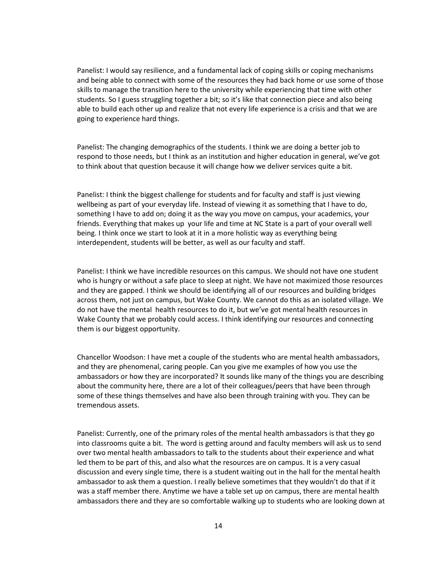Panelist: I would say resilience, and a fundamental lack of coping skills or coping mechanisms and being able to connect with some of the resources they had back home or use some of those skills to manage the transition here to the university while experiencing that time with other students. So I guess struggling together a bit; so it's like that connection piece and also being able to build each other up and realize that not every life experience is a crisis and that we are going to experience hard things.

Panelist: The changing demographics of the students. I think we are doing a better job to respond to those needs, but I think as an institution and higher education in general, we've got to think about that question because it will change how we deliver services quite a bit.

Panelist: I think the biggest challenge for students and for faculty and staff is just viewing wellbeing as part of your everyday life. Instead of viewing it as something that I have to do, something I have to add on; doing it as the way you move on campus, your academics, your friends. Everything that makes up your life and time at NC State is a part of your overall well being. I think once we start to look at it in a more holistic way as everything being interdependent, students will be better, as well as our faculty and staff.

Panelist: I think we have incredible resources on this campus. We should not have one student who is hungry or without a safe place to sleep at night. We have not maximized those resources and they are gapped. I think we should be identifying all of our resources and building bridges across them, not just on campus, but Wake County. We cannot do this as an isolated village. We do not have the mental health resources to do it, but we've got mental health resources in Wake County that we probably could access. I think identifying our resources and connecting them is our biggest opportunity.

Chancellor Woodson: I have met a couple of the students who are mental health ambassadors, and they are phenomenal, caring people. Can you give me examples of how you use the ambassadors or how they are incorporated? It sounds like many of the things you are describing about the community here, there are a lot of their colleagues/peers that have been through some of these things themselves and have also been through training with you. They can be tremendous assets.

Panelist: Currently, one of the primary roles of the mental health ambassadors is that they go into classrooms quite a bit. The word is getting around and faculty members will ask us to send over two mental health ambassadors to talk to the students about their experience and what led them to be part of this, and also what the resources are on campus. It is a very casual discussion and every single time, there is a student waiting out in the hall for the mental health ambassador to ask them a question. I really believe sometimes that they wouldn't do that if it was a staff member there. Anytime we have a table set up on campus, there are mental health ambassadors there and they are so comfortable walking up to students who are looking down at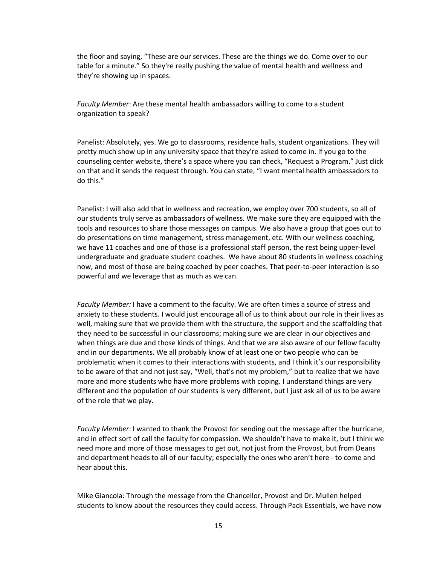the floor and saying, "These are our services. These are the things we do. Come over to our table for a minute." So they're really pushing the value of mental health and wellness and they're showing up in spaces.

*Faculty Member*: Are these mental health ambassadors willing to come to a student organization to speak?

Panelist: Absolutely, yes. We go to classrooms, residence halls, student organizations. They will pretty much show up in any university space that they're asked to come in. If you go to the counseling center website, there's a space where you can check, "Request a Program." Just click on that and it sends the request through. You can state, "I want mental health ambassadors to do this."

Panelist: I will also add that in wellness and recreation, we employ over 700 students, so all of our students truly serve as ambassadors of wellness. We make sure they are equipped with the tools and resources to share those messages on campus. We also have a group that goes out to do presentations on time management, stress management, etc. With our wellness coaching, we have 11 coaches and one of those is a professional staff person, the rest being upper-level undergraduate and graduate student coaches. We have about 80 students in wellness coaching now, and most of those are being coached by peer coaches. That peer-to-peer interaction is so powerful and we leverage that as much as we can.

*Faculty Member:* I have a comment to the faculty. We are often times a source of stress and anxiety to these students. I would just encourage all of us to think about our role in their lives as well, making sure that we provide them with the structure, the support and the scaffolding that they need to be successful in our classrooms; making sure we are clear in our objectives and when things are due and those kinds of things. And that we are also aware of our fellow faculty and in our departments. We all probably know of at least one or two people who can be problematic when it comes to their interactions with students, and I think it's our responsibility to be aware of that and not just say, "Well, that's not my problem," but to realize that we have more and more students who have more problems with coping. I understand things are very different and the population of our students is very different, but I just ask all of us to be aware of the role that we play.

*Faculty Member*: I wanted to thank the Provost for sending out the message after the hurricane, and in effect sort of call the faculty for compassion. We shouldn't have to make it, but I think we need more and more of those messages to get out, not just from the Provost, but from Deans and department heads to all of our faculty; especially the ones who aren't here - to come and hear about this.

Mike Giancola: Through the message from the Chancellor, Provost and Dr. Mullen helped students to know about the resources they could access. Through Pack Essentials, we have now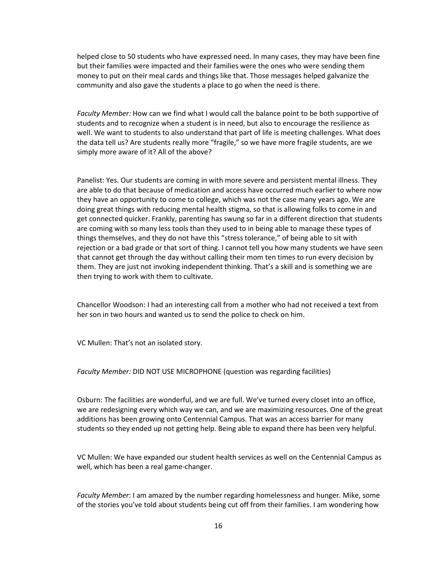helped close to 50 students who have expressed need. In many cases, they may have been fine but their families were impacted and their families were the ones who were sending them money to put on their meal cards and things like that. Those messages helped galvanize the community and also gave the students a place to go when the need is there.

*Faculty Member:* How can we find what I would call the balance point to be both supportive of students and to recognize when a student is in need, but also to encourage the resilience as well. We want to students to also understand that part of life is meeting challenges. What does the data tell us? Are students really more "fragile," so we have more fragile students, are we simply more aware of it? All of the above?

Panelist: Yes. Our students are coming in with more severe and persistent mental illness. They are able to do that because of medication and access have occurred much earlier to where now they have an opportunity to come to college, which was not the case many years ago. We are doing great things with reducing mental health stigma, so that is allowing folks to come in and get connected quicker. Frankly, parenting has swung so far in a different direction that students are coming with so many less tools than they used to in being able to manage these types of things themselves, and they do not have this "stress tolerance," of being able to sit with rejection or a bad grade or that sort of thing. I cannot tell you how many students we have seen that cannot get through the day without calling their mom ten times to run every decision by them. They are just not invoking independent thinking. That's a skill and is something we are then trying to work with them to cultivate.

Chancellor Woodson: I had an interesting call from a mother who had not received a text from her son in two hours and wanted us to send the police to check on him.

VC Mullen: That's not an isolated story.

*Faculty Member:* DID NOT USE MICROPHONE (question was regarding facilities)

Osburn: The facilities are wonderful, and we are full. We've turned every closet into an office, we are redesigning every which way we can, and we are maximizing resources. One of the great additions has been growing onto Centennial Campus. That was an access barrier for many students so they ended up not getting help. Being able to expand there has been very helpful.

VC Mullen: We have expanded our student health services as well on the Centennial Campus as well, which has been a real game-changer.

*Faculty Member*: I am amazed by the number regarding homelessness and hunger. Mike, some of the stories you've told about students being cut off from their families. I am wondering how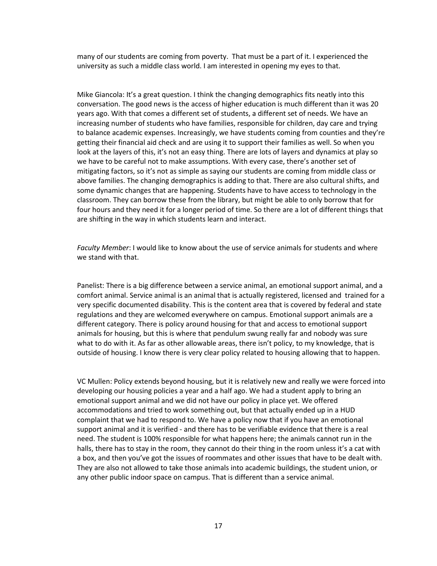many of our students are coming from poverty. That must be a part of it. I experienced the university as such a middle class world. I am interested in opening my eyes to that.

Mike Giancola: It's a great question. I think the changing demographics fits neatly into this conversation. The good news is the access of higher education is much different than it was 20 years ago. With that comes a different set of students, a different set of needs. We have an increasing number of students who have families, responsible for children, day care and trying to balance academic expenses. Increasingly, we have students coming from counties and they're getting their financial aid check and are using it to support their families as well. So when you look at the layers of this, it's not an easy thing. There are lots of layers and dynamics at play so we have to be careful not to make assumptions. With every case, there's another set of mitigating factors, so it's not as simple as saying our students are coming from middle class or above families. The changing demographics is adding to that. There are also cultural shifts, and some dynamic changes that are happening. Students have to have access to technology in the classroom. They can borrow these from the library, but might be able to only borrow that for four hours and they need it for a longer period of time. So there are a lot of different things that are shifting in the way in which students learn and interact.

*Faculty Member*: I would like to know about the use of service animals for students and where we stand with that.

Panelist: There is a big difference between a service animal, an emotional support animal, and a comfort animal. Service animal is an animal that is actually registered, licensed and trained for a very specific documented disability. This is the content area that is covered by federal and state regulations and they are welcomed everywhere on campus. Emotional support animals are a different category. There is policy around housing for that and access to emotional support animals for housing, but this is where that pendulum swung really far and nobody was sure what to do with it. As far as other allowable areas, there isn't policy, to my knowledge, that is outside of housing. I know there is very clear policy related to housing allowing that to happen.

VC Mullen: Policy extends beyond housing, but it is relatively new and really we were forced into developing our housing policies a year and a half ago. We had a student apply to bring an emotional support animal and we did not have our policy in place yet. We offered accommodations and tried to work something out, but that actually ended up in a HUD complaint that we had to respond to. We have a policy now that if you have an emotional support animal and it is verified - and there has to be verifiable evidence that there is a real need. The student is 100% responsible for what happens here; the animals cannot run in the halls, there has to stay in the room, they cannot do their thing in the room unless it's a cat with a box, and then you've got the issues of roommates and other issues that have to be dealt with. They are also not allowed to take those animals into academic buildings, the student union, or any other public indoor space on campus. That is different than a service animal.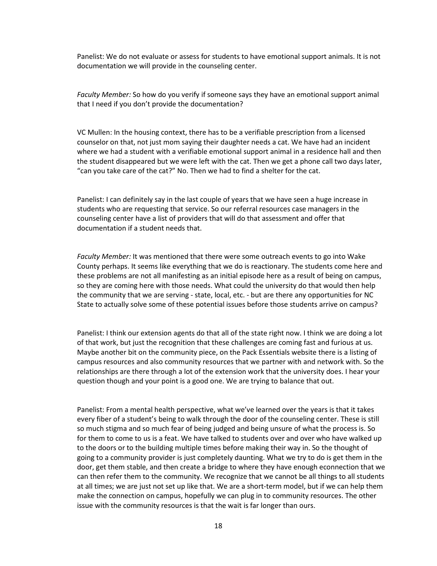Panelist: We do not evaluate or assess for students to have emotional support animals. It is not documentation we will provide in the counseling center.

*Faculty Member:* So how do you verify if someone says they have an emotional support animal that I need if you don't provide the documentation?

VC Mullen: In the housing context, there has to be a verifiable prescription from a licensed counselor on that, not just mom saying their daughter needs a cat. We have had an incident where we had a student with a verifiable emotional support animal in a residence hall and then the student disappeared but we were left with the cat. Then we get a phone call two days later, "can you take care of the cat?" No. Then we had to find a shelter for the cat.

Panelist: I can definitely say in the last couple of years that we have seen a huge increase in students who are requesting that service. So our referral resources case managers in the counseling center have a list of providers that will do that assessment and offer that documentation if a student needs that.

*Faculty Member:* It was mentioned that there were some outreach events to go into Wake County perhaps. It seems like everything that we do is reactionary. The students come here and these problems are not all manifesting as an initial episode here as a result of being on campus, so they are coming here with those needs. What could the university do that would then help the community that we are serving - state, local, etc. - but are there any opportunities for NC State to actually solve some of these potential issues before those students arrive on campus?

Panelist: I think our extension agents do that all of the state right now. I think we are doing a lot of that work, but just the recognition that these challenges are coming fast and furious at us. Maybe another bit on the community piece, on the Pack Essentials website there is a listing of campus resources and also community resources that we partner with and network with. So the relationships are there through a lot of the extension work that the university does. I hear your question though and your point is a good one. We are trying to balance that out.

Panelist: From a mental health perspective, what we've learned over the years is that it takes every fiber of a student's being to walk through the door of the counseling center. These is still so much stigma and so much fear of being judged and being unsure of what the process is. So for them to come to us is a feat. We have talked to students over and over who have walked up to the doors or to the building multiple times before making their way in. So the thought of going to a community provider is just completely daunting. What we try to do is get them in the door, get them stable, and then create a bridge to where they have enough econnection that we can then refer them to the community. We recognize that we cannot be all things to all students at all times; we are just not set up like that. We are a short-term model, but if we can help them make the connection on campus, hopefully we can plug in to community resources. The other issue with the community resources is that the wait is far longer than ours.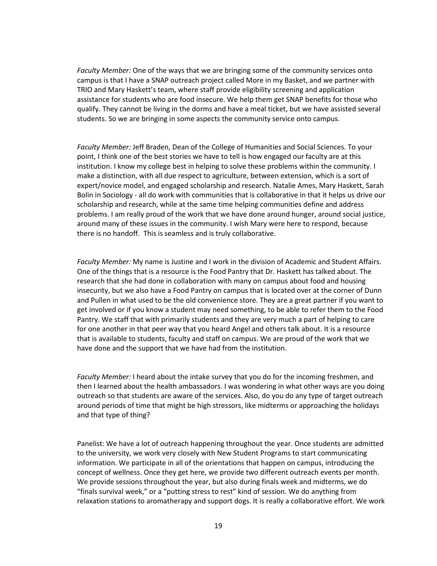*Faculty Member:* One of the ways that we are bringing some of the community services onto campus is that I have a SNAP outreach project called More in my Basket, and we partner with TRIO and Mary Haskett's team, where staff provide eligibility screening and application assistance for students who are food insecure. We help them get SNAP benefits for those who qualify. They cannot be living in the dorms and have a meal ticket, but we have assisted several students. So we are bringing in some aspects the community service onto campus.

*Faculty Member:* Jeff Braden, Dean of the College of Humanities and Social Sciences. To your point, I think one of the best stories we have to tell is how engaged our faculty are at this institution. I know my college best in helping to solve these problems within the community. I make a distinction, with all due respect to agriculture, between extension, which is a sort of expert/novice model, and engaged scholarship and research. Natalie Ames, Mary Haskett, Sarah Bolin in Sociology - all do work with communities that is collaborative in that it helps us drive our scholarship and research, while at the same time helping communities define and address problems. I am really proud of the work that we have done around hunger, around social justice, around many of these issues in the community. I wish Mary were here to respond, because there is no handoff. This is seamless and is truly collaborative.

*Faculty Member:* My name is Justine and I work in the division of Academic and Student Affairs. One of the things that is a resource is the Food Pantry that Dr. Haskett has talked about. The research that she had done in collaboration with many on campus about food and housing insecurity, but we also have a Food Pantry on campus that is located over at the corner of Dunn and Pullen in what used to be the old convenience store. They are a great partner if you want to get involved or if you know a student may need something, to be able to refer them to the Food Pantry. We staff that with primarily students and they are very much a part of helping to care for one another in that peer way that you heard Angel and others talk about. It is a resource that is available to students, faculty and staff on campus. We are proud of the work that we have done and the support that we have had from the institution.

*Faculty Member:* I heard about the intake survey that you do for the incoming freshmen, and then I learned about the health ambassadors. I was wondering in what other ways are you doing outreach so that students are aware of the services. Also, do you do any type of target outreach around periods of time that might be high stressors, like midterms or approaching the holidays and that type of thing?

Panelist: We have a lot of outreach happening throughout the year. Once students are admitted to the university, we work very closely with New Student Programs to start communicating information. We participate in all of the orientations that happen on campus, introducing the concept of wellness. Once they get here, we provide two different outreach events per month. We provide sessions throughout the year, but also during finals week and midterms, we do "finals survival week," or a "putting stress to rest" kind of session. We do anything from relaxation stations to aromatherapy and support dogs. It is really a collaborative effort. We work